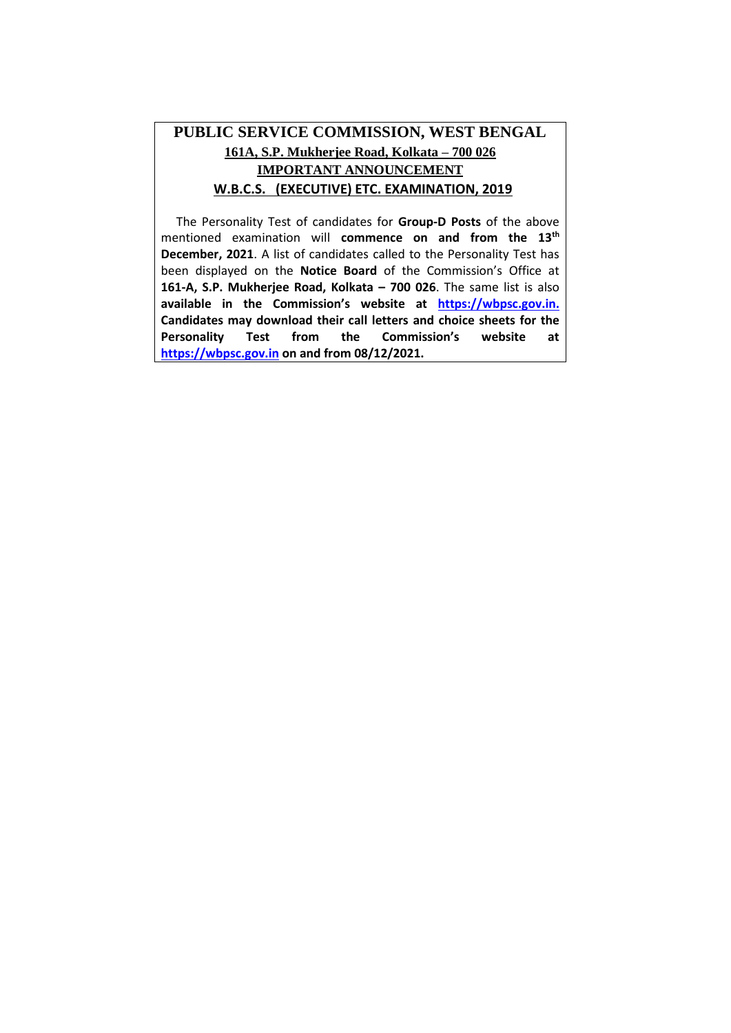## **PUBLIC SERVICE COMMISSION, WEST BENGAL 161A, S.P. Mukherjee Road, Kolkata – 700 026 IMPORTANT ANNOUNCEMENT IW.B.C.S. (EXECUTIVE) ETC. EXAMINATION, 2019**

 The Personality Test of candidates for **Group-D Posts** of the above mentioned examination will **commence on and from the 13<sup>th</sup> December, 2021**. A list of candidates called to the Personality Test has been displayed on the **Notice Board** of the Commission's Office at **161-A, S.P. Mukherjee Road, Kolkata – 700 026**. The same list is also **available in the Commission's website at [https://wbpsc.gov.in.](https://wbpsc.gov.in/) Candidates may download their call letters and choice sheets for the Personality Test from the Commission's website at [https://wbpsc.gov.in](https://wbpsc.gov.in/) on and from 08/12/2021.**